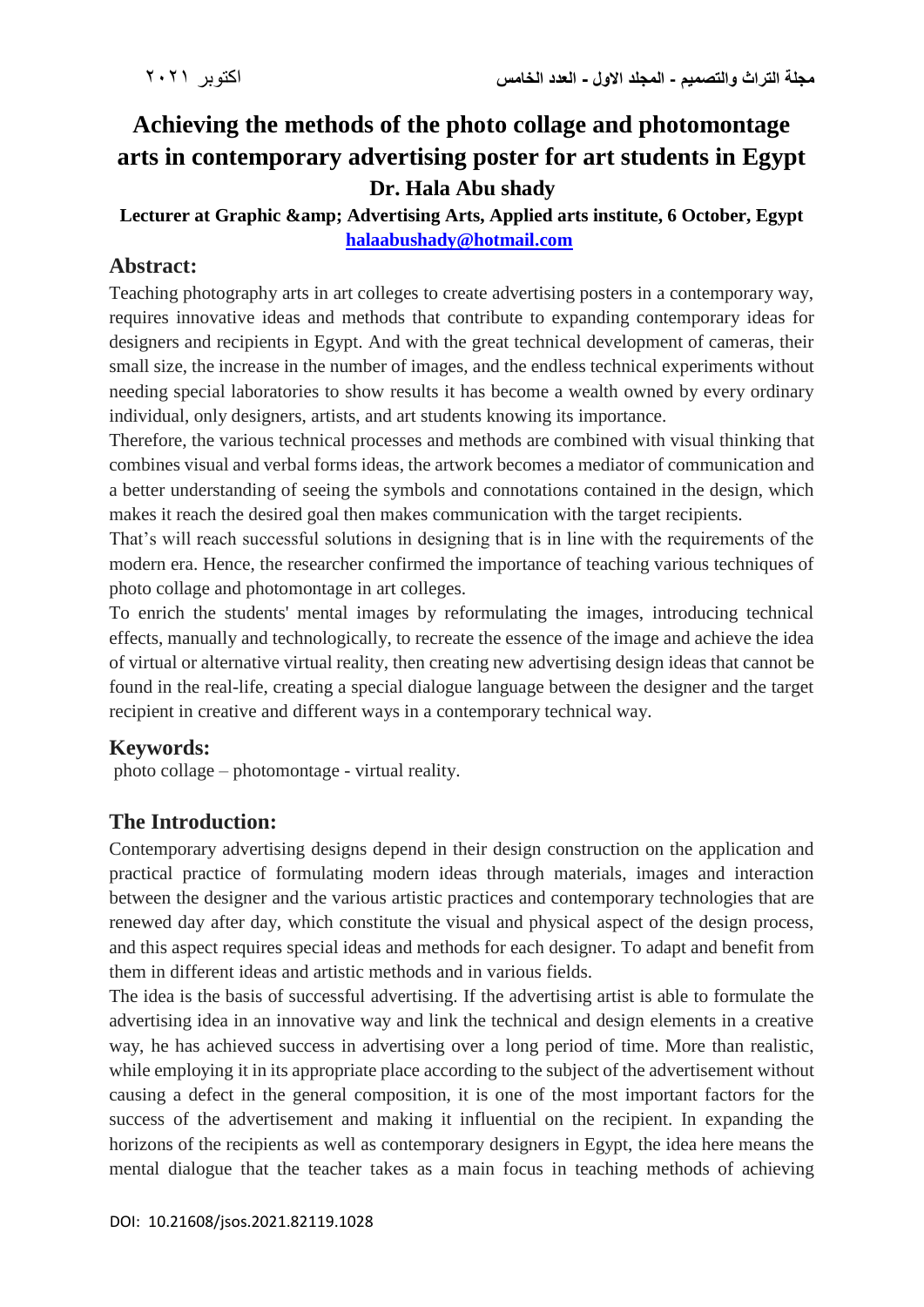# **Achieving the methods of the photo collage and photomontage arts in contemporary advertising poster for art students in Egypt Dr. Hala Abu shady**

## Lecturer at Graphic & amp; Advertising Arts, Applied arts institute, 6 October, Egypt **[halaabushady@hotmail.com](mailto:halaabushady@hotmail.com)**

# **Abstract:**

Teaching photography arts in art colleges to create advertising posters in a contemporary way, requires innovative ideas and methods that contribute to expanding contemporary ideas for designers and recipients in Egypt. And with the great technical development of cameras, their small size, the increase in the number of images, and the endless technical experiments without needing special laboratories to show results it has become a wealth owned by every ordinary individual, only designers, artists, and art students knowing its importance.

Therefore, the various technical processes and methods are combined with visual thinking that combines visual and verbal forms ideas, the artwork becomes a mediator of communication and a better understanding of seeing the symbols and connotations contained in the design, which makes it reach the desired goal then makes communication with the target recipients.

That's will reach successful solutions in designing that is in line with the requirements of the modern era. Hence, the researcher confirmed the importance of teaching various techniques of photo collage and photomontage in art colleges.

To enrich the students' mental images by reformulating the images, introducing technical effects, manually and technologically, to recreate the essence of the image and achieve the idea of virtual or alternative virtual reality, then creating new advertising design ideas that cannot be found in the real-life, creating a special dialogue language between the designer and the target recipient in creative and different ways in a contemporary technical way.

# **Keywords:**

photo collage – photomontage - virtual reality.

# **The Introduction:**

Contemporary advertising designs depend in their design construction on the application and practical practice of formulating modern ideas through materials, images and interaction between the designer and the various artistic practices and contemporary technologies that are renewed day after day, which constitute the visual and physical aspect of the design process, and this aspect requires special ideas and methods for each designer. To adapt and benefit from them in different ideas and artistic methods and in various fields.

The idea is the basis of successful advertising. If the advertising artist is able to formulate the advertising idea in an innovative way and link the technical and design elements in a creative way, he has achieved success in advertising over a long period of time. More than realistic, while employing it in its appropriate place according to the subject of the advertisement without causing a defect in the general composition, it is one of the most important factors for the success of the advertisement and making it influential on the recipient. In expanding the horizons of the recipients as well as contemporary designers in Egypt, the idea here means the mental dialogue that the teacher takes as a main focus in teaching methods of achieving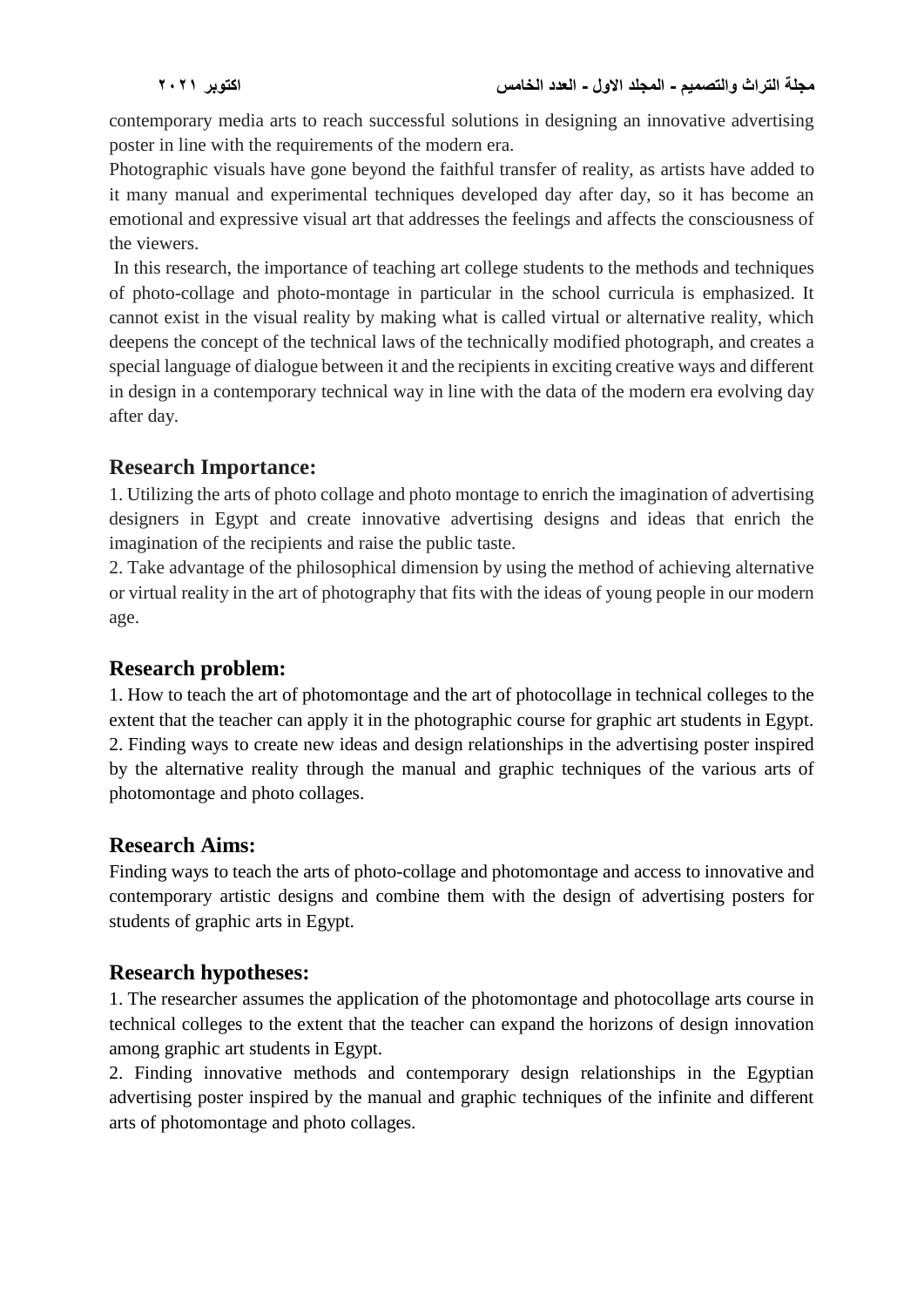contemporary media arts to reach successful solutions in designing an innovative advertising poster in line with the requirements of the modern era.

Photographic visuals have gone beyond the faithful transfer of reality, as artists have added to it many manual and experimental techniques developed day after day, so it has become an emotional and expressive visual art that addresses the feelings and affects the consciousness of the viewers.

In this research, the importance of teaching art college students to the methods and techniques of photo-collage and photo-montage in particular in the school curricula is emphasized. It cannot exist in the visual reality by making what is called virtual or alternative reality, which deepens the concept of the technical laws of the technically modified photograph, and creates a special language of dialogue between it and the recipients in exciting creative ways and different in design in a contemporary technical way in line with the data of the modern era evolving day after day.

## **Research Importance:**

1. Utilizing the arts of photo collage and photo montage to enrich the imagination of advertising designers in Egypt and create innovative advertising designs and ideas that enrich the imagination of the recipients and raise the public taste.

2. Take advantage of the philosophical dimension by using the method of achieving alternative or virtual reality in the art of photography that fits with the ideas of young people in our modern age.

## **Research problem:**

1. How to teach the art of photomontage and the art of photocollage in technical colleges to the extent that the teacher can apply it in the photographic course for graphic art students in Egypt. 2. Finding ways to create new ideas and design relationships in the advertising poster inspired by the alternative reality through the manual and graphic techniques of the various arts of photomontage and photo collages.

## **Research Aims:**

Finding ways to teach the arts of photo-collage and photomontage and access to innovative and contemporary artistic designs and combine them with the design of advertising posters for students of graphic arts in Egypt.

# **Research hypotheses:**

1. The researcher assumes the application of the photomontage and photocollage arts course in technical colleges to the extent that the teacher can expand the horizons of design innovation among graphic art students in Egypt.

2. Finding innovative methods and contemporary design relationships in the Egyptian advertising poster inspired by the manual and graphic techniques of the infinite and different arts of photomontage and photo collages.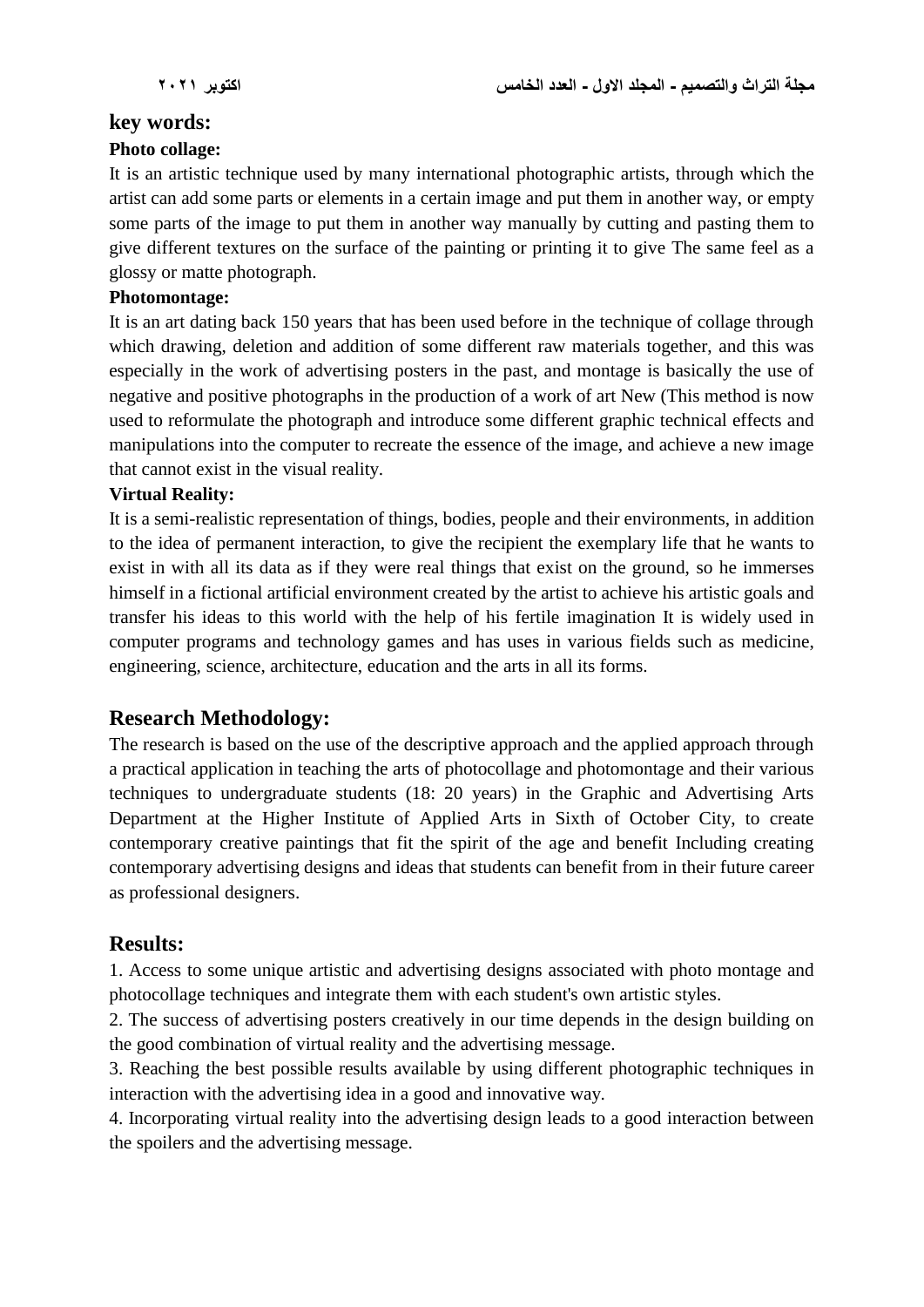## **key words:**

#### **Photo collage:**

It is an artistic technique used by many international photographic artists, through which the artist can add some parts or elements in a certain image and put them in another way, or empty some parts of the image to put them in another way manually by cutting and pasting them to give different textures on the surface of the painting or printing it to give The same feel as a glossy or matte photograph.

#### **Photomontage:**

It is an art dating back 150 years that has been used before in the technique of collage through which drawing, deletion and addition of some different raw materials together, and this was especially in the work of advertising posters in the past, and montage is basically the use of negative and positive photographs in the production of a work of art New (This method is now used to reformulate the photograph and introduce some different graphic technical effects and manipulations into the computer to recreate the essence of the image, and achieve a new image that cannot exist in the visual reality.

#### **Virtual Reality:**

It is a semi-realistic representation of things, bodies, people and their environments, in addition to the idea of permanent interaction, to give the recipient the exemplary life that he wants to exist in with all its data as if they were real things that exist on the ground, so he immerses himself in a fictional artificial environment created by the artist to achieve his artistic goals and transfer his ideas to this world with the help of his fertile imagination It is widely used in computer programs and technology games and has uses in various fields such as medicine, engineering, science, architecture, education and the arts in all its forms.

#### **Research Methodology:**

The research is based on the use of the descriptive approach and the applied approach through a practical application in teaching the arts of photocollage and photomontage and their various techniques to undergraduate students (18: 20 years) in the Graphic and Advertising Arts Department at the Higher Institute of Applied Arts in Sixth of October City, to create contemporary creative paintings that fit the spirit of the age and benefit Including creating contemporary advertising designs and ideas that students can benefit from in their future career as professional designers.

#### **Results:**

1. Access to some unique artistic and advertising designs associated with photo montage and photocollage techniques and integrate them with each student's own artistic styles.

2. The success of advertising posters creatively in our time depends in the design building on the good combination of virtual reality and the advertising message.

3. Reaching the best possible results available by using different photographic techniques in interaction with the advertising idea in a good and innovative way.

4. Incorporating virtual reality into the advertising design leads to a good interaction between the spoilers and the advertising message.